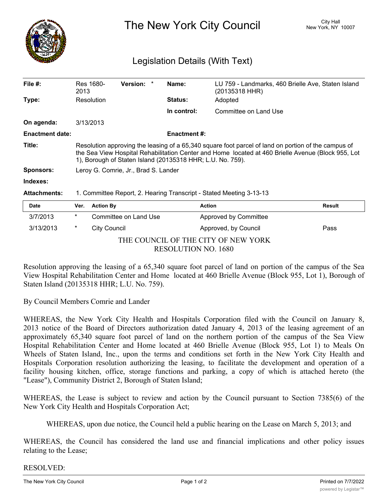

The New York City Council New York, NY 10007

## Legislation Details (With Text)

| File $#$ :             | Res 1680-<br>2013                                                                                                                                                                                                                                                       | <b>Version:</b>       |  | Name:              | (20135318 HHR)        | LU 759 - Landmarks, 460 Brielle Ave, Staten Island |
|------------------------|-------------------------------------------------------------------------------------------------------------------------------------------------------------------------------------------------------------------------------------------------------------------------|-----------------------|--|--------------------|-----------------------|----------------------------------------------------|
| Type:                  | Resolution                                                                                                                                                                                                                                                              |                       |  | <b>Status:</b>     | Adopted               |                                                    |
|                        |                                                                                                                                                                                                                                                                         |                       |  | In control:        | Committee on Land Use |                                                    |
| On agenda:             | 3/13/2013                                                                                                                                                                                                                                                               |                       |  |                    |                       |                                                    |
| <b>Enactment date:</b> |                                                                                                                                                                                                                                                                         |                       |  | <b>Enactment#:</b> |                       |                                                    |
| Title:                 | Resolution approving the leasing of a 65,340 square foot parcel of land on portion of the campus of<br>the Sea View Hospital Rehabilitation Center and Home located at 460 Brielle Avenue (Block 955, Lot<br>1), Borough of Staten Island (20135318 HHR; L.U. No. 759). |                       |  |                    |                       |                                                    |
| Sponsors:              | Leroy G. Comrie, Jr., Brad S. Lander                                                                                                                                                                                                                                    |                       |  |                    |                       |                                                    |
| Indexes:               |                                                                                                                                                                                                                                                                         |                       |  |                    |                       |                                                    |
| <b>Attachments:</b>    | 1. Committee Report, 2. Hearing Transcript - Stated Meeting 3-13-13                                                                                                                                                                                                     |                       |  |                    |                       |                                                    |
| Date                   | <b>Action By</b><br>Ver.                                                                                                                                                                                                                                                |                       |  |                    | <b>Action</b>         | <b>Result</b>                                      |
| 3/7/2013               | *                                                                                                                                                                                                                                                                       | Committee on Land Use |  |                    | Approved by Committee |                                                    |

THE COUNCIL OF THE CITY OF NEW YORK RESOLUTION NO. 1680

3/13/2013 \* City Council Approved, by Council Pass

Resolution approving the leasing of a 65,340 square foot parcel of land on portion of the campus of the Sea View Hospital Rehabilitation Center and Home located at 460 Brielle Avenue (Block 955, Lot 1), Borough of Staten Island (20135318 HHR; L.U. No. 759).

By Council Members Comrie and Lander

WHEREAS, the New York City Health and Hospitals Corporation filed with the Council on January 8, 2013 notice of the Board of Directors authorization dated January 4, 2013 of the leasing agreement of an approximately 65,340 square foot parcel of land on the northern portion of the campus of the Sea View Hospital Rehabilitation Center and Home located at 460 Brielle Avenue (Block 955, Lot 1) to Meals On Wheels of Staten Island, Inc., upon the terms and conditions set forth in the New York City Health and Hospitals Corporation resolution authorizing the leasing, to facilitate the development and operation of a facility housing kitchen, office, storage functions and parking, a copy of which is attached hereto (the "Lease"), Community District 2, Borough of Staten Island;

WHEREAS, the Lease is subject to review and action by the Council pursuant to Section 7385(6) of the New York City Health and Hospitals Corporation Act;

WHEREAS, upon due notice, the Council held a public hearing on the Lease on March 5, 2013; and

WHEREAS, the Council has considered the land use and financial implications and other policy issues relating to the Lease;

## RESOLVED: